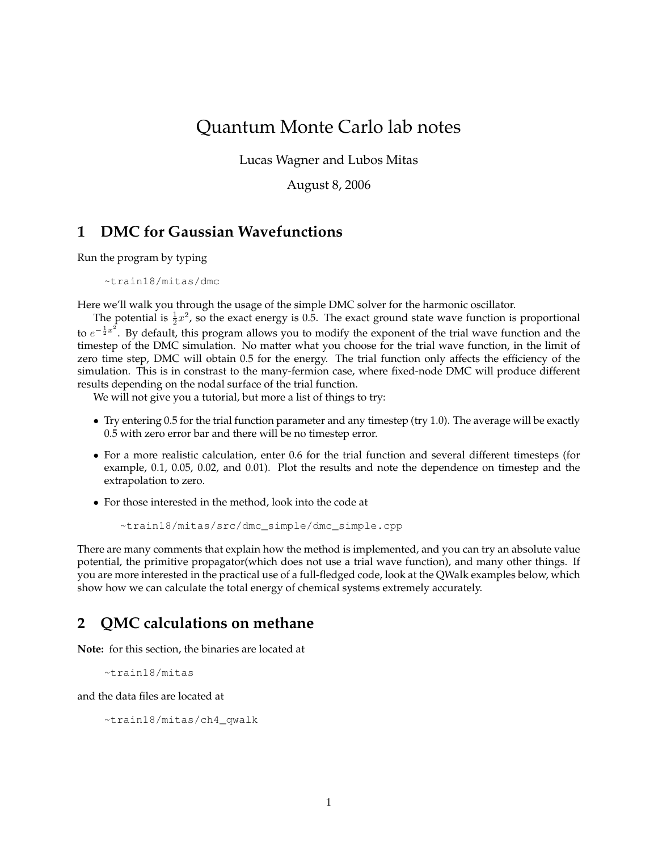## Quantum Monte Carlo lab notes

Lucas Wagner and Lubos Mitas

August 8, 2006

## **1 DMC for Gaussian Wavefunctions**

Run the program by typing

~train18/mitas/dmc

Here we'll walk you through the usage of the simple DMC solver for the harmonic oscillator.

The potential is  $\frac{1}{2}x^2$ , so the exact energy is 0.5. The exact ground state wave function is proportional to  $e^{-\frac{1}{2}x^2}$ . By default, this program allows you to modify the exponent of the trial wave function and the timestep of the DMC simulation. No matter what you choose for the trial wave function, in the limit of zero time step, DMC will obtain 0.5 for the energy. The trial function only affects the efficiency of the simulation. This is in constrast to the many-fermion case, where fixed-node DMC will produce different results depending on the nodal surface of the trial function.

We will not give you a tutorial, but more a list of things to try:

- Try entering 0.5 for the trial function parameter and any timestep (try 1.0). The average will be exactly 0.5 with zero error bar and there will be no timestep error.
- For a more realistic calculation, enter 0.6 for the trial function and several different timesteps (for example, 0.1, 0.05, 0.02, and 0.01). Plot the results and note the dependence on timestep and the extrapolation to zero.
- For those interested in the method, look into the code at

~train18/mitas/src/dmc\_simple/dmc\_simple.cpp

There are many comments that explain how the method is implemented, and you can try an absolute value potential, the primitive propagator(which does not use a trial wave function), and many other things. If you are more interested in the practical use of a full-fledged code, look at the QWalk examples below, which show how we can calculate the total energy of chemical systems extremely accurately.

## **2 QMC calculations on methane**

**Note:** for this section, the binaries are located at

~train18/mitas

and the data files are located at

~train18/mitas/ch4\_qwalk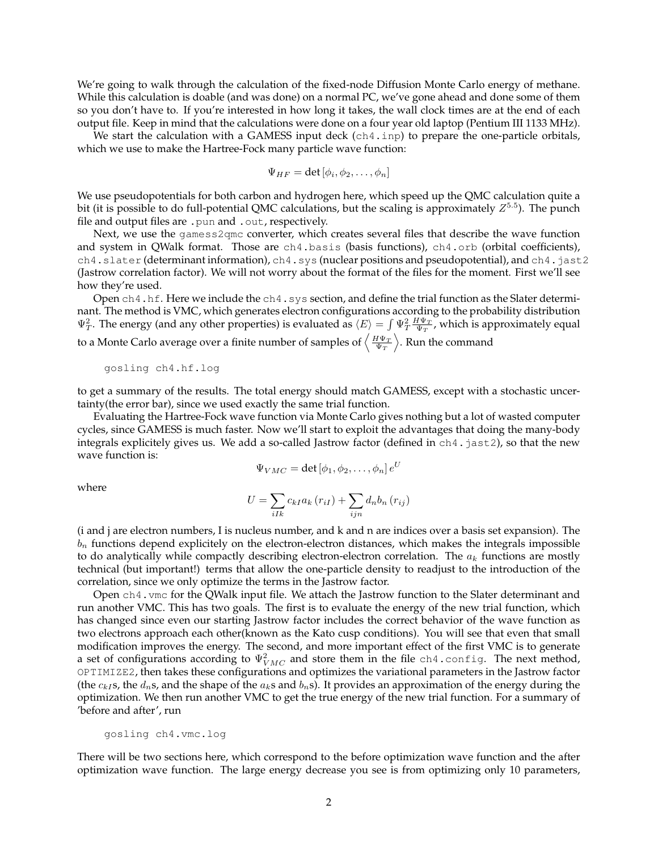We're going to walk through the calculation of the fixed-node Diffusion Monte Carlo energy of methane. While this calculation is doable (and was done) on a normal PC, we've gone ahead and done some of them so you don't have to. If you're interested in how long it takes, the wall clock times are at the end of each output file. Keep in mind that the calculations were done on a four year old laptop (Pentium III 1133 MHz).

We start the calculation with a GAMESS input deck (ch4.inp) to prepare the one-particle orbitals, which we use to make the Hartree-Fock many particle wave function:

$$
\Psi_{HF}=\det\left[\phi_{i},\phi_{2},\ldots,\phi_{n}\right]
$$

We use pseudopotentials for both carbon and hydrogen here, which speed up the QMC calculation quite a bit (it is possible to do full-potential QMC calculations, but the scaling is approximately  $Z^{5.5}$ ). The punch file and output files are .pun and .out, respectively.

Next, we use the gamess2qmc converter, which creates several files that describe the wave function and system in QWalk format. Those are ch4.basis (basis functions), ch4.orb (orbital coefficients), ch4.slater (determinant information), ch4.sys (nuclear positions and pseudopotential), and ch4.jast2 (Jastrow correlation factor). We will not worry about the format of the files for the moment. First we'll see how they're used.

Open ch4.hf. Here we include the ch4.sys section, and define the trial function as the Slater determinant. The method is VMC, which generates electron configurations according to the probability distribution  $\Psi_T^2$ . The energy (and any other properties) is evaluated as  $\langle E \rangle = \int \Psi_T^2 \frac{H \Psi_T}{\Psi_T}$ , which is approximately equal to a Monte Carlo average over a finite number of samples of  $\left\langle\frac{H\Psi_T}{\Psi_T}\right\rangle$ . Run the command

gosling ch4.hf.log

to get a summary of the results. The total energy should match GAMESS, except with a stochastic uncertainty(the error bar), since we used exactly the same trial function.

Evaluating the Hartree-Fock wave function via Monte Carlo gives nothing but a lot of wasted computer cycles, since GAMESS is much faster. Now we'll start to exploit the advantages that doing the many-body integrals explicitely gives us. We add a so-called Jastrow factor (defined in ch4.jast2), so that the new wave function is:

$$
\Psi_{VMC} = \det \left[ \phi_1, \phi_2, \dots, \phi_n \right] e^U
$$

where

$$
U = \sum_{iIk} c_{kI} a_k (r_{iI}) + \sum_{ijn} d_n b_n (r_{ij})
$$

(i and j are electron numbers, I is nucleus number, and k and n are indices over a basis set expansion). The  $b_n$  functions depend explicitely on the electron-electron distances, which makes the integrals impossible to do analytically while compactly describing electron-electron correlation. The  $a_k$  functions are mostly technical (but important!) terms that allow the one-particle density to readjust to the introduction of the correlation, since we only optimize the terms in the Jastrow factor.

Open ch4.vmc for the QWalk input file. We attach the Jastrow function to the Slater determinant and run another VMC. This has two goals. The first is to evaluate the energy of the new trial function, which has changed since even our starting Jastrow factor includes the correct behavior of the wave function as two electrons approach each other(known as the Kato cusp conditions). You will see that even that small modification improves the energy. The second, and more important effect of the first VMC is to generate a set of configurations according to  $\Psi^2_{VMC}$  and store them in the file <code>ch4.config.</code> The next method, OPTIMIZE2, then takes these configurations and optimizes the variational parameters in the Jastrow factor (the  $c_{kI}$ s, the  $d_n$ s, and the shape of the  $a_k$ s and  $b_n$ s). It provides an approximation of the energy during the optimization. We then run another VMC to get the true energy of the new trial function. For a summary of 'before and after', run

## gosling ch4.vmc.log

There will be two sections here, which correspond to the before optimization wave function and the after optimization wave function. The large energy decrease you see is from optimizing only 10 parameters,